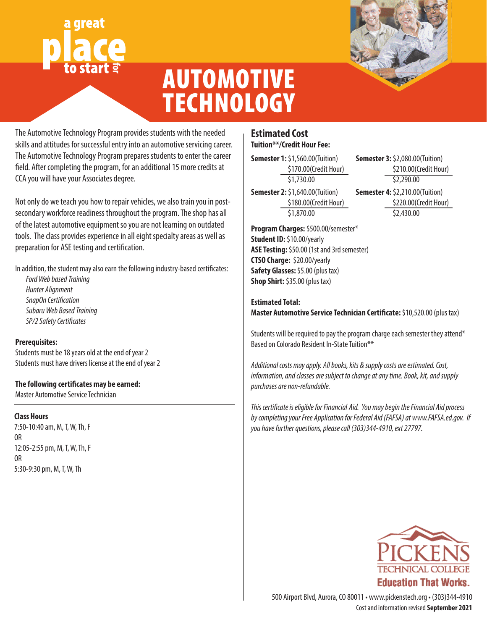# great **for**



## AUTOMOTIVE **TECHNOLOGY**

The Automotive Technology Program provides students with the needed skills and attitudes for successful entry into an automotive servicing career. The Automotive Technology Program prepares students to enter the career field. After completing the program, for an additional 15 more credits at CCA you will have your Associates degree.

Not only do we teach you how to repair vehicles, we also train you in postsecondary workforce readiness throughout the program. The shop has all of the latest automotive equipment so you are not learning on outdated tools. The class provides experience in all eight specialty areas as well as preparation for ASE testing and certification.

In addition, the student may also earn the following industry-based certificates:

*Ford Web based Training Hunter Alignment SnapOn Certification Subaru Web Based Training SP/2 Safety Certificates*

#### **Prerequisites:**

Students must be 18 years old at the end of year 2 Students must have drivers license at the end of year 2

#### **The following certificates may be earned:**

Master Automotive Service Technician

#### **Class Hours**

7:50-10:40 am, M, T, W, Th, F OR 12:05-2:55 pm, M, T, W, Th, F OR 5:30-9:30 pm, M, T, W, Th

#### **Estimated Cost Tuition\*\*/Credit Hour Fee:**

**Semester 1:** \$1,560.00(Tuition) \$170.00(Credit Hour) \$1,730.00

**Semester 2:** \$1,640.00(Tuition) \$180.00(Credit Hour) \$1,870.00

**Program Charges:** \$500.00/semester\* **Student ID:** \$10.00/yearly **ASE Testing:** \$50.00 (1st and 3rd semester) **CTSO Charge:** \$20.00/yearly **Safety Glasses:** \$5.00 (plus tax) **Shop Shirt:** \$35.00 (plus tax)

**Estimated Total: Master Automotive Service Technician Certificate:** \$10,520.00 (plus tax)

Students will be required to pay the program charge each semester they attend\* Based on Colorado Resident In-State Tuition\*\*

*Additional costs may apply. All books, kits & supply costs are estimated. Cost, information, and classes are subject to change at any time. Book, kit, and supply purchases are non-refundable.*

*This certificate is eligible for Financial Aid. You may begin the Financial Aid process by completing your Free Application for Federal Aid (FAFSA) at www.FAFSA.ed.gov. If you have further questions, please call (303)344-4910, ext 27797.*



Cost and information revised **September 2021** 500 Airport Blvd, Aurora, CO 80011 • www.pickenstech.org • (303)344-4910

**Semester 3:** \$2,080.00(Tuition) \$210.00(Credit Hour) \$2,290.00 **Semester 4:** \$2,210.00(Tuition) \$220.00(Credit Hour) \$2,430.00